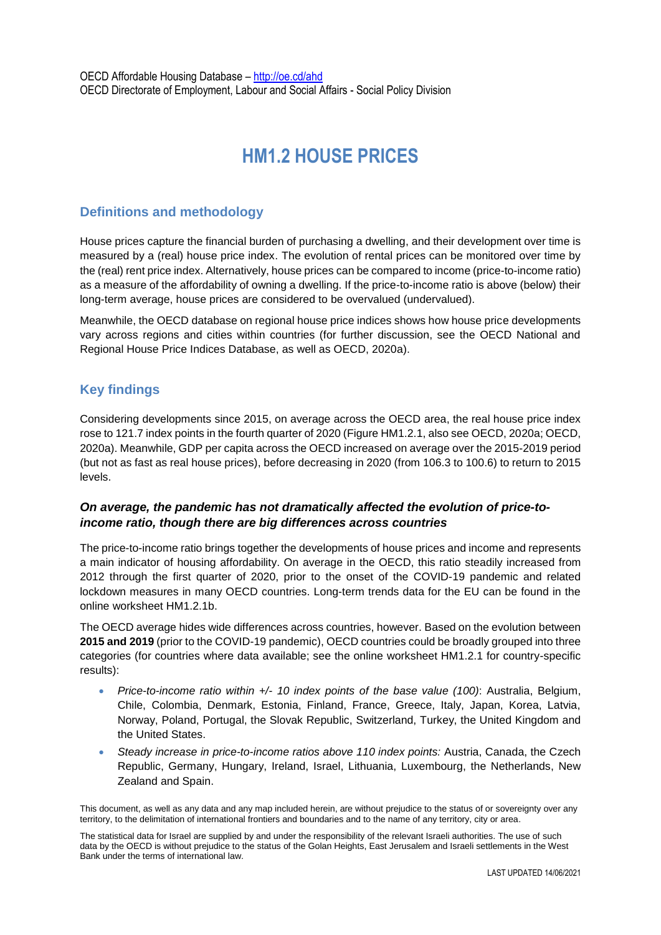# **HM1.2 HOUSE PRICES**

# **Definitions and methodology**

House prices capture the financial burden of purchasing a dwelling, and their development over time is measured by a (real) house price index. The evolution of rental prices can be monitored over time by the (real) rent price index. Alternatively, house prices can be compared to income (price-to-income ratio) as a measure of the affordability of owning a dwelling. If the price-to-income ratio is above (below) their long-term average, house prices are considered to be overvalued (undervalued).

Meanwhile, the OECD database on regional house price indices shows how house price developments vary across regions and cities within countries (for further discussion, see the OECD National and Regional House Price Indices Database, as well as OECD, 2020a).

# **Key findings**

Considering developments since 2015, on average across the OECD area, the real house price index rose to 121.7 index points in the fourth quarter of 2020 (Figure HM1.2.1, also see OECD, 2020a; OECD, 2020a). Meanwhile, GDP per capita across the OECD increased on average over the 2015-2019 period (but not as fast as real house prices), before decreasing in 2020 (from 106.3 to 100.6) to return to 2015 levels.

## *On average, the pandemic has not dramatically affected the evolution of price-toincome ratio, though there are big differences across countries*

The price-to-income ratio brings together the developments of house prices and income and represents a main indicator of housing affordability. On average in the OECD, this ratio steadily increased from 2012 through the first quarter of 2020, prior to the onset of the COVID-19 pandemic and related lockdown measures in many OECD countries. Long-term trends data for the EU can be found in the online worksheet HM1.2.1b.

The OECD average hides wide differences across countries, however. Based on the evolution between **2015 and 2019** (prior to the COVID-19 pandemic), OECD countries could be broadly grouped into three categories (for countries where data available; see the online worksheet HM1.2.1 for country-specific results):

- *Price-to-income ratio within +/- 10 index points of the base value (100)*: Australia, Belgium, Chile, Colombia, Denmark, Estonia, Finland, France, Greece, Italy, Japan, Korea, Latvia, Norway, Poland, Portugal, the Slovak Republic, Switzerland, Turkey, the United Kingdom and the United States.
- *Steady increase in price-to-income ratios above 110 index points:* Austria, Canada, the Czech Republic, Germany, Hungary, Ireland, Israel, Lithuania, Luxembourg, the Netherlands, New Zealand and Spain.

This document, as well as any data and any map included herein, are without prejudice to the status of or sovereignty over any territory, to the delimitation of international frontiers and boundaries and to the name of any territory, city or area.

The statistical data for Israel are supplied by and under the responsibility of the relevant Israeli authorities. The use of such data by the OECD is without prejudice to the status of the Golan Heights, East Jerusalem and Israeli settlements in the West Bank under the terms of international law.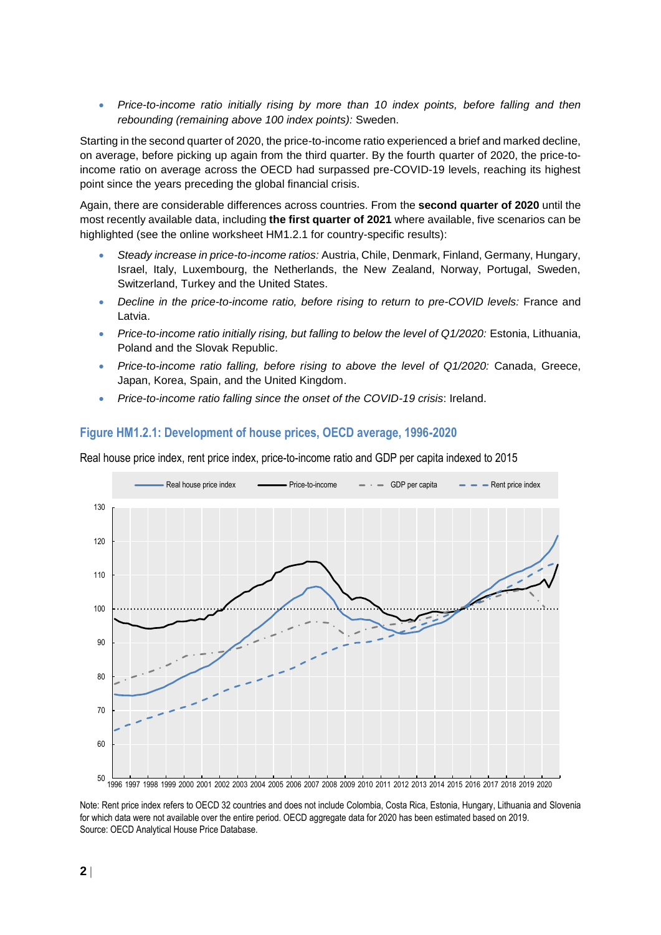**•** Price-to-income ratio initially rising by more than 10 index points, before falling and then *rebounding (remaining above 100 index points):* Sweden.

Starting in the second quarter of 2020, the price-to-income ratio experienced a brief and marked decline, on average, before picking up again from the third quarter. By the fourth quarter of 2020, the price-toincome ratio on average across the OECD had surpassed pre-COVID-19 levels, reaching its highest point since the years preceding the global financial crisis.

Again, there are considerable differences across countries. From the **second quarter of 2020** until the most recently available data, including **the first quarter of 2021** where available, five scenarios can be highlighted (see the online worksheet HM1.2.1 for country-specific results):

- *Steady increase in price-to-income ratios:* Austria, Chile, Denmark, Finland, Germany, Hungary, Israel, Italy, Luxembourg, the Netherlands, the New Zealand, Norway, Portugal, Sweden, Switzerland, Turkey and the United States.
- *Decline in the price-to-income ratio, before rising to return to pre-COVID levels:* France and Latvia.
- *Price-to-income ratio initially rising, but falling to below the level of Q1/2020:* Estonia, Lithuania, Poland and the Slovak Republic.
- *Price-to-income ratio falling, before rising to above the level of Q1/2020:* Canada, Greece, Japan, Korea, Spain, and the United Kingdom.
- *Price-to-income ratio falling since the onset of the COVID-19 crisis*: Ireland.



# **Figure HM1.2.1: Development of house prices, OECD average, 1996-2020**

Note: Rent price index refers to OECD 32 countries and does not include Colombia, Costa Rica, Estonia, Hungary, Lithuania and Slovenia for which data were not available over the entire period. OECD aggregate data for 2020 has been estimated based on 2019. Source: OECD Analytical House Price Database.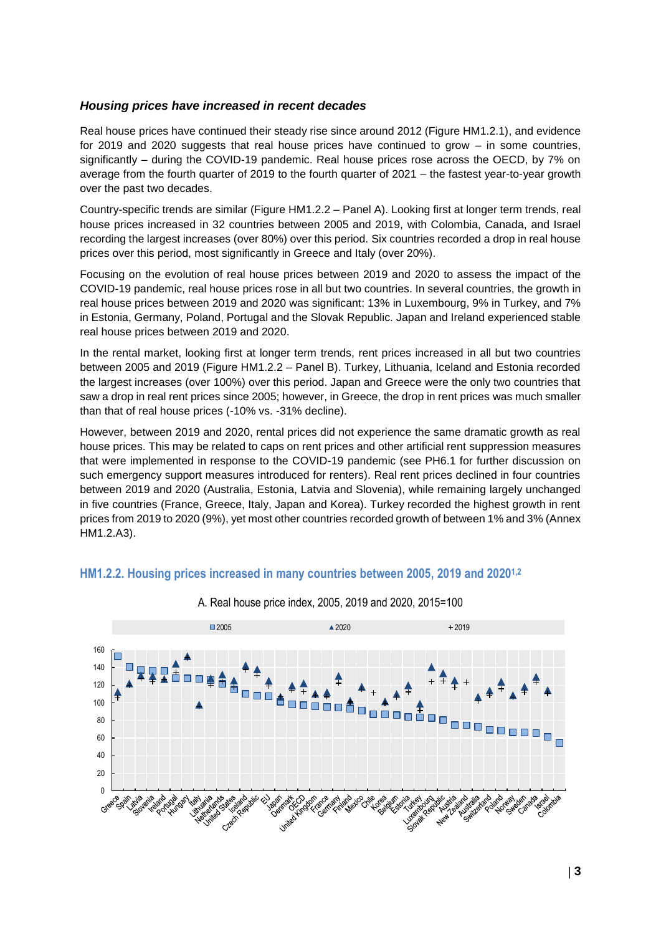#### *Housing prices have increased in recent decades*

Real house prices have continued their steady rise since around 2012 (Figure HM1.2.1), and evidence for 2019 and 2020 suggests that real house prices have continued to grow – in some countries, significantly – during the COVID-19 pandemic. Real house prices rose across the OECD, by 7% on average from the fourth quarter of 2019 to the fourth quarter of 2021 – the fastest year-to-year growth over the past two decades.

Country-specific trends are similar (Figure HM1.2.2 – Panel A). Looking first at longer term trends, real house prices increased in 32 countries between 2005 and 2019, with Colombia, Canada, and Israel recording the largest increases (over 80%) over this period. Six countries recorded a drop in real house prices over this period, most significantly in Greece and Italy (over 20%).

Focusing on the evolution of real house prices between 2019 and 2020 to assess the impact of the COVID-19 pandemic, real house prices rose in all but two countries. In several countries, the growth in real house prices between 2019 and 2020 was significant: 13% in Luxembourg, 9% in Turkey, and 7% in Estonia, Germany, Poland, Portugal and the Slovak Republic. Japan and Ireland experienced stable real house prices between 2019 and 2020.

In the rental market, looking first at longer term trends, rent prices increased in all but two countries between 2005 and 2019 (Figure HM1.2.2 – Panel B). Turkey, Lithuania, Iceland and Estonia recorded the largest increases (over 100%) over this period. Japan and Greece were the only two countries that saw a drop in real rent prices since 2005; however, in Greece, the drop in rent prices was much smaller than that of real house prices (-10% vs. -31% decline).

However, between 2019 and 2020, rental prices did not experience the same dramatic growth as real house prices. This may be related to caps on rent prices and other artificial rent suppression measures that were implemented in response to the COVID-19 pandemic (see PH6.1 for further discussion on such emergency support measures introduced for renters). Real rent prices declined in four countries between 2019 and 2020 (Australia, Estonia, Latvia and Slovenia), while remaining largely unchanged in five countries (France, Greece, Italy, Japan and Korea). Turkey recorded the highest growth in rent prices from 2019 to 2020 (9%), yet most other countries recorded growth of between 1% and 3% (Annex HM1.2.A3).





A. Real house price index, 2005, 2019 and 2020, 2015=100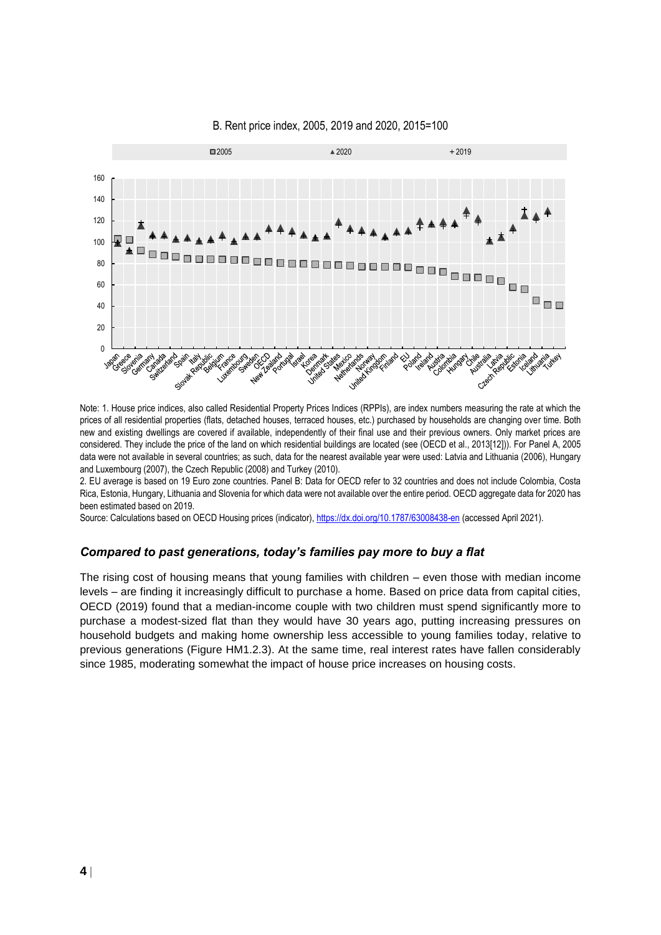

#### B. Rent price index, 2005, 2019 and 2020, 2015=100

Note: 1. House price indices, also called Residential Property Prices Indices (RPPIs), are index numbers measuring the rate at which the prices of all residential properties (flats, detached houses, terraced houses, etc.) purchased by households are changing over time. Both new and existing dwellings are covered if available, independently of their final use and their previous owners. Only market prices are considered. They include the price of the land on which residential buildings are located (see (OECD et al., 2013[12])). For Panel A, 2005 data were not available in several countries; as such, data for the nearest available year were used: Latvia and Lithuania (2006), Hungary and Luxembourg (2007), the Czech Republic (2008) and Turkey (2010).

2. EU average is based on 19 Euro zone countries. Panel B: Data for OECD refer to 32 countries and does not include Colombia, Costa Rica, Estonia, Hungary, Lithuania and Slovenia for which data were not available over the entire period. OECD aggregate data for 2020 has been estimated based on 2019.

Source: Calculations based on OECD Housing prices (indicator)[, https://dx.doi.org/10.1787/63008438-en](https://dx.doi.org/10.1787/63008438-en) (accessed April 2021).

#### *Compared to past generations, today's families pay more to buy a flat*

The rising cost of housing means that young families with children – even those with median income levels – are finding it increasingly difficult to purchase a home. Based on price data from capital cities, OECD (2019) found that a median-income couple with two children must spend significantly more to purchase a modest-sized flat than they would have 30 years ago, putting increasing pressures on household budgets and making home ownership less accessible to young families today, relative to previous generations (Figure HM1.2.3). At the same time, real interest rates have fallen considerably since 1985, moderating somewhat the impact of house price increases on housing costs.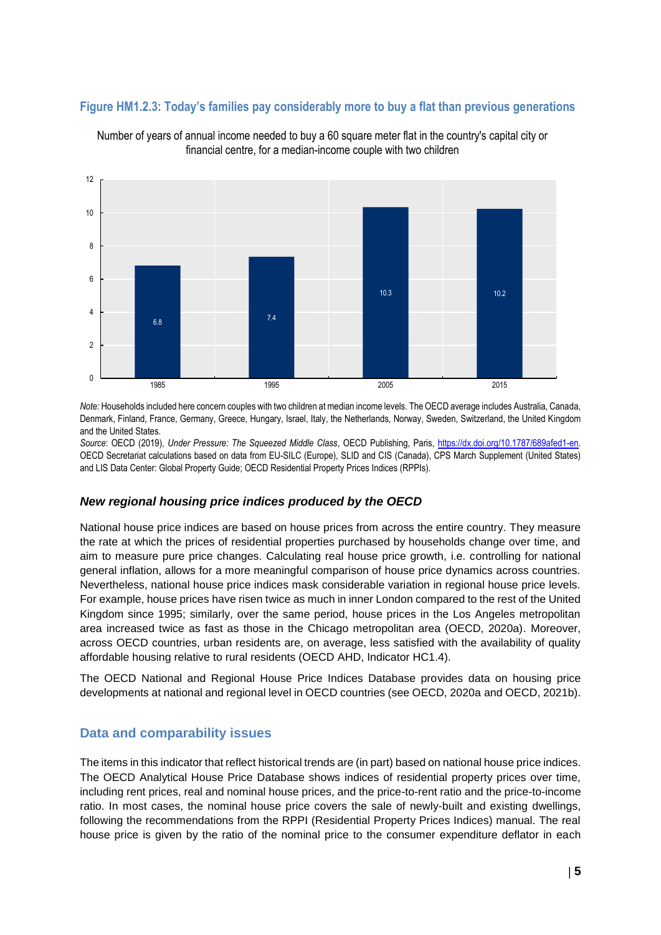## **Figure HM1.2.3: Today's families pay considerably more to buy a flat than previous generations**



Number of years of annual income needed to buy a 60 square meter flat in the country's capital city or financial centre, for a median-income couple with two children

*Note:* Households included here concern couples with two children at median income levels. The OECD average includes Australia, Canada, Denmark, Finland, France, Germany, Greece, Hungary, Israel, Italy, the Netherlands, Norway, Sweden, Switzerland, the United Kingdom and the United States.

*Source*: OECD (2019), *Under Pressure: The Squeezed Middle Class*, OECD Publishing, Paris, [https://dx.doi.org/10.1787/689afed1-en.](https://dx.doi.org/10.1787/689afed1-en)  OECD Secretariat calculations based on data from EU-SILC (Europe), SLID and CIS (Canada), CPS March Supplement (United States) and LIS Data Center: Global Property Guide; OECD Residential Property Prices Indices (RPPIs).

## *New regional housing price indices produced by the OECD*

National house price indices are based on house prices from across the entire country. They measure the rate at which the prices of residential properties purchased by households change over time, and aim to measure pure price changes. Calculating real house price growth, i.e. controlling for national general inflation, allows for a more meaningful comparison of house price dynamics across countries. Nevertheless, national house price indices mask considerable variation in regional house price levels. For example, house prices have risen twice as much in inner London compared to the rest of the United Kingdom since 1995; similarly, over the same period, house prices in the Los Angeles metropolitan area increased twice as fast as those in the Chicago metropolitan area (OECD, 2020a). Moreover, across OECD countries, urban residents are, on average, less satisfied with the availability of quality affordable housing relative to rural residents (OECD AHD, Indicator HC1.4).

The OECD National and Regional House Price Indices Database provides data on housing price developments at national and regional level in OECD countries (see OECD, 2020a and OECD, 2021b).

## **Data and comparability issues**

The items in this indicator that reflect historical trends are (in part) based on national house price indices. The OECD Analytical House Price Database shows indices of residential property prices over time, including rent prices, real and nominal house prices, and the price-to-rent ratio and the price-to-income ratio. In most cases, the nominal house price covers the sale of newly-built and existing dwellings, following the recommendations from the RPPI (Residential Property Prices Indices) manual. The real house price is given by the ratio of the nominal price to the consumer expenditure deflator in each